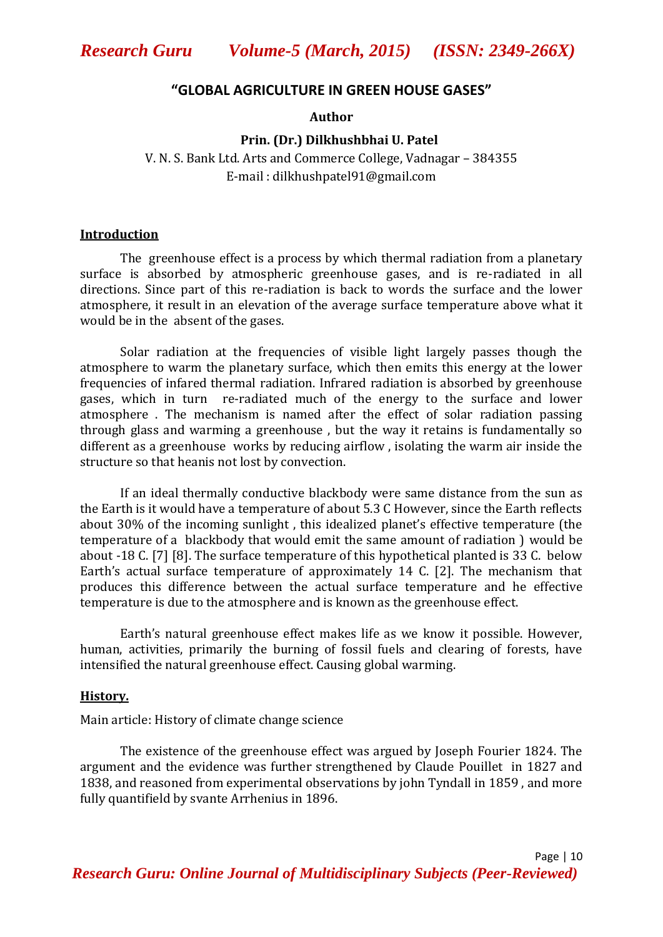#### **"GLOBAL AGRICULTURE IN GREEN HOUSE GASES"**

**Author**

#### **Prin. (Dr.) Dilkhushbhai U. Patel**

V. N. S. Bank Ltd. Arts and Commerce College, Vadnagar – 384355 E-mail : dilkhushpatel91@gmail.com

#### **Introduction**

The greenhouse effect is a process by which thermal radiation from a planetary surface is absorbed by atmospheric greenhouse gases, and is re-radiated in all directions. Since part of this re-radiation is back to words the surface and the lower atmosphere, it result in an elevation of the average surface temperature above what it would be in the absent of the gases.

Solar radiation at the frequencies of visible light largely passes though the atmosphere to warm the planetary surface, which then emits this energy at the lower frequencies of infared thermal radiation. Infrared radiation is absorbed by greenhouse gases, which in turn re-radiated much of the energy to the surface and lower atmosphere . The mechanism is named after the effect of solar radiation passing through glass and warming a greenhouse , but the way it retains is fundamentally so different as a greenhouse works by reducing airflow , isolating the warm air inside the structure so that heanis not lost by convection.

If an ideal thermally conductive blackbody were same distance from the sun as the Earth is it would have a temperature of about 5.3 C However, since the Earth reflects about 30% of the incoming sunlight , this idealized planet's effective temperature (the temperature of a blackbody that would emit the same amount of radiation ) would be about -18 C. [7] [8]. The surface temperature of this hypothetical planted is 33 C. below Earth's actual surface temperature of approximately 14 C. [2]. The mechanism that produces this difference between the actual surface temperature and he effective temperature is due to the atmosphere and is known as the greenhouse effect.

Earth's natural greenhouse effect makes life as we know it possible. However, human, activities, primarily the burning of fossil fuels and clearing of forests, have intensified the natural greenhouse effect. Causing global warming.

#### **History.**

Main article: History of climate change science

The existence of the greenhouse effect was argued by Joseph Fourier 1824. The argument and the evidence was further strengthened by Claude Pouillet in 1827 and 1838, and reasoned from experimental observations by john Tyndall in 1859 , and more fully quantifield by svante Arrhenius in 1896.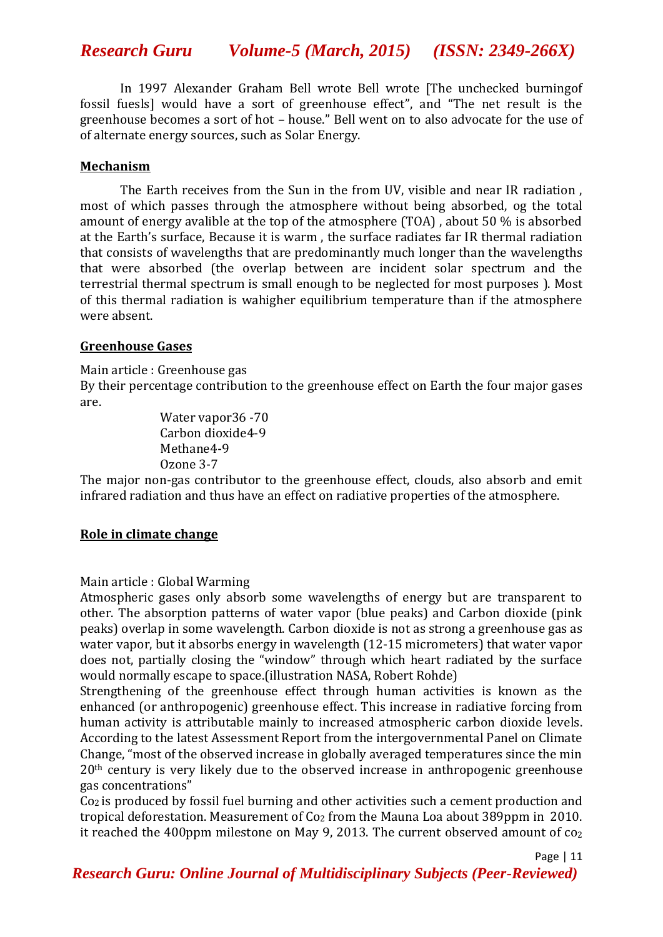# *Research Guru Volume-5 (March, 2015) (ISSN: 2349-266X)*

In 1997 Alexander Graham Bell wrote Bell wrote [The unchecked burningof fossil fuesls] would have a sort of greenhouse effect", and "The net result is the greenhouse becomes a sort of hot – house." Bell went on to also advocate for the use of of alternate energy sources, such as Solar Energy.

### **Mechanism**

The Earth receives from the Sun in the from UV, visible and near IR radiation , most of which passes through the atmosphere without being absorbed, og the total amount of energy avalible at the top of the atmosphere (TOA) , about 50 % is absorbed at the Earth's surface, Because it is warm , the surface radiates far IR thermal radiation that consists of wavelengths that are predominantly much longer than the wavelengths that were absorbed (the overlap between are incident solar spectrum and the terrestrial thermal spectrum is small enough to be neglected for most purposes ). Most of this thermal radiation is wahigher equilibrium temperature than if the atmosphere were absent.

#### **Greenhouse Gases**

Main article : Greenhouse gas

By their percentage contribution to the greenhouse effect on Earth the four major gases are.

> Water vapor36 -70 Carbon dioxide4-9 Methane4-9 Ozone 3-7

The major non-gas contributor to the greenhouse effect, clouds, also absorb and emit infrared radiation and thus have an effect on radiative properties of the atmosphere.

## **Role in climate change**

Main article : Global Warming

Atmospheric gases only absorb some wavelengths of energy but are transparent to other. The absorption patterns of water vapor (blue peaks) and Carbon dioxide (pink peaks) overlap in some wavelength. Carbon dioxide is not as strong a greenhouse gas as water vapor, but it absorbs energy in wavelength (12-15 micrometers) that water vapor does not, partially closing the "window" through which heart radiated by the surface would normally escape to space.(illustration NASA, Robert Rohde)

Strengthening of the greenhouse effect through human activities is known as the enhanced (or anthropogenic) greenhouse effect. This increase in radiative forcing from human activity is attributable mainly to increased atmospheric carbon dioxide levels. According to the latest Assessment Report from the intergovernmental Panel on Climate Change, "most of the observed increase in globally averaged temperatures since the min 20<sup>th</sup> century is very likely due to the observed increase in anthropogenic greenhouse gas concentrations"

Co2 is produced by fossil fuel burning and other activities such a cement production and tropical deforestation. Measurement of Co<sub>2</sub> from the Mauna Loa about 389ppm in 2010. it reached the 400ppm milestone on May 9, 2013. The current observed amount of co<sub>2</sub>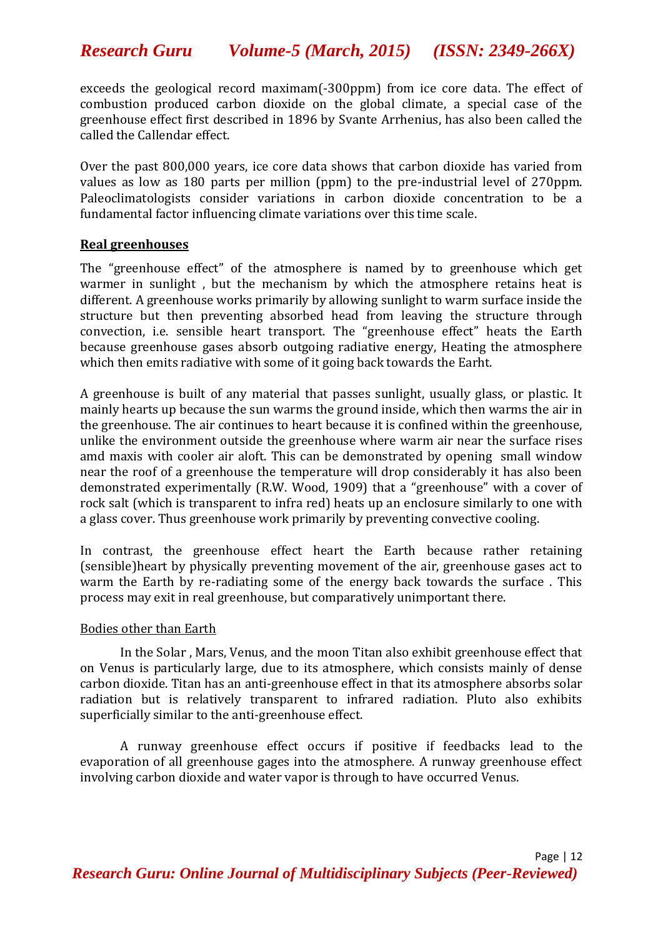*Research Guru Volume-5 (March, 2015) (ISSN: 2349-266X)*

exceeds the geological record maximam(-300ppm) from ice core data. The effect of combustion produced carbon dioxide on the global climate, a special case of the greenhouse effect first described in 1896 by Svante Arrhenius, has also been called the called the Callendar effect.

Over the past 800,000 years, ice core data shows that carbon dioxide has varied from values as low as 180 parts per million (ppm) to the pre-industrial level of 270ppm. Paleoclimatologists consider variations in carbon dioxide concentration to be a fundamental factor influencing climate variations over this time scale.

### **Real greenhouses**

The "greenhouse effect" of the atmosphere is named by to greenhouse which get warmer in sunlight , but the mechanism by which the atmosphere retains heat is different. A greenhouse works primarily by allowing sunlight to warm surface inside the structure but then preventing absorbed head from leaving the structure through convection, i.e. sensible heart transport. The "greenhouse effect" heats the Earth because greenhouse gases absorb outgoing radiative energy, Heating the atmosphere which then emits radiative with some of it going back towards the Earht.

A greenhouse is built of any material that passes sunlight, usually glass, or plastic. It mainly hearts up because the sun warms the ground inside, which then warms the air in the greenhouse. The air continues to heart because it is confined within the greenhouse, unlike the environment outside the greenhouse where warm air near the surface rises amd maxis with cooler air aloft. This can be demonstrated by opening small window near the roof of a greenhouse the temperature will drop considerably it has also been demonstrated experimentally (R.W. Wood, 1909) that a "greenhouse" with a cover of rock salt (which is transparent to infra red) heats up an enclosure similarly to one with a glass cover. Thus greenhouse work primarily by preventing convective cooling.

In contrast, the greenhouse effect heart the Earth because rather retaining (sensible)heart by physically preventing movement of the air, greenhouse gases act to warm the Earth by re-radiating some of the energy back towards the surface . This process may exit in real greenhouse, but comparatively unimportant there.

### Bodies other than Earth

In the Solar , Mars, Venus, and the moon Titan also exhibit greenhouse effect that on Venus is particularly large, due to its atmosphere, which consists mainly of dense carbon dioxide. Titan has an anti-greenhouse effect in that its atmosphere absorbs solar radiation but is relatively transparent to infrared radiation. Pluto also exhibits superficially similar to the anti-greenhouse effect.

A runway greenhouse effect occurs if positive if feedbacks lead to the evaporation of all greenhouse gages into the atmosphere. A runway greenhouse effect involving carbon dioxide and water vapor is through to have occurred Venus.